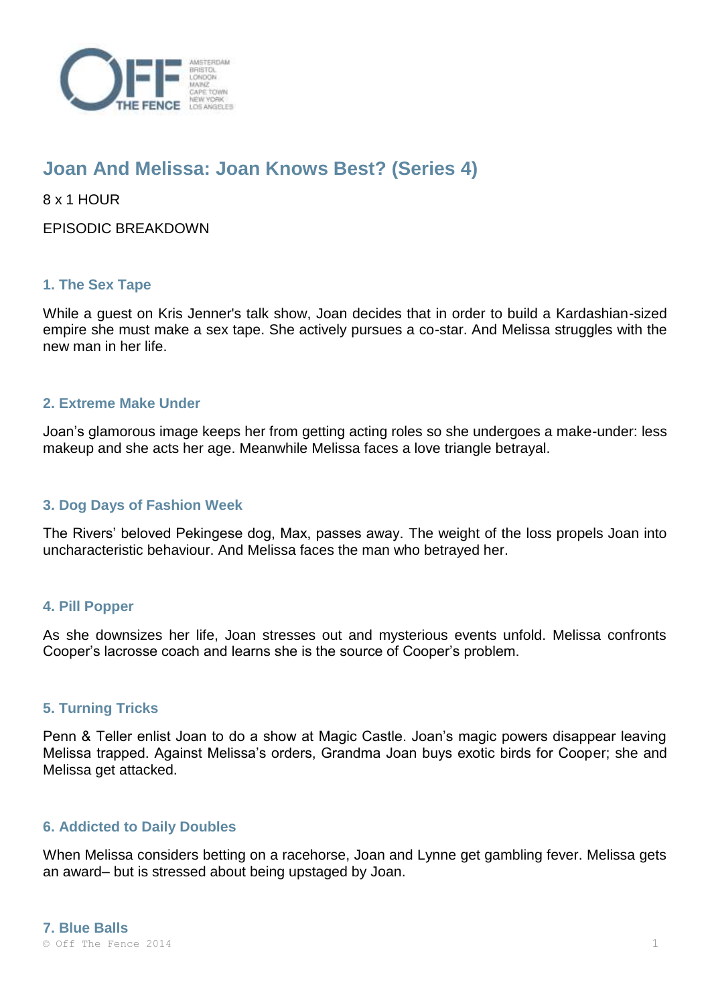

# **Joan And Melissa: Joan Knows Best? (Series 4)**

8 x 1 HOUR

EPISODIC BREAKDOWN

## **1. The Sex Tape**

While a guest on Kris Jenner's talk show, Joan decides that in order to build a Kardashian-sized empire she must make a sex tape. She actively pursues a co-star. And Melissa struggles with the new man in her life.

## **2. Extreme Make Under**

Joan's glamorous image keeps her from getting acting roles so she undergoes a make-under: less makeup and she acts her age. Meanwhile Melissa faces a love triangle betrayal.

### **3. Dog Days of Fashion Week**

The Rivers' beloved Pekingese dog, Max, passes away. The weight of the loss propels Joan into uncharacteristic behaviour. And Melissa faces the man who betrayed her.

## **4. Pill Popper**

As she downsizes her life, Joan stresses out and mysterious events unfold. Melissa confronts Cooper's lacrosse coach and learns she is the source of Cooper's problem.

#### **5. Turning Tricks**

Penn & Teller enlist Joan to do a show at Magic Castle. Joan's magic powers disappear leaving Melissa trapped. Against Melissa's orders, Grandma Joan buys exotic birds for Cooper; she and Melissa get attacked.

#### **6. Addicted to Daily Doubles**

When Melissa considers betting on a racehorse, Joan and Lynne get gambling fever. Melissa gets an award– but is stressed about being upstaged by Joan.